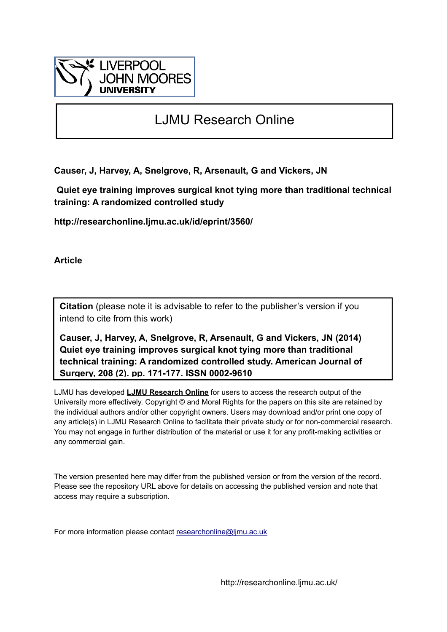

## LJMU Research Online

**Causer, J, Harvey, A, Snelgrove, R, Arsenault, G and Vickers, JN**

 **Quiet eye training improves surgical knot tying more than traditional technical training: A randomized controlled study**

**http://researchonline.ljmu.ac.uk/id/eprint/3560/**

**Article**

**Citation** (please note it is advisable to refer to the publisher's version if you intend to cite from this work)

**Causer, J, Harvey, A, Snelgrove, R, Arsenault, G and Vickers, JN (2014) Quiet eye training improves surgical knot tying more than traditional technical training: A randomized controlled study. American Journal of Surgery, 208 (2). pp. 171-177. ISSN 0002-9610** 

LJMU has developed **[LJMU Research Online](http://researchonline.ljmu.ac.uk/)** for users to access the research output of the University more effectively. Copyright © and Moral Rights for the papers on this site are retained by the individual authors and/or other copyright owners. Users may download and/or print one copy of any article(s) in LJMU Research Online to facilitate their private study or for non-commercial research. You may not engage in further distribution of the material or use it for any profit-making activities or any commercial gain.

The version presented here may differ from the published version or from the version of the record. Please see the repository URL above for details on accessing the published version and note that access may require a subscription.

For more information please contact [researchonline@ljmu.ac.uk](mailto:researchonline@ljmu.ac.uk)

http://researchonline.ljmu.ac.uk/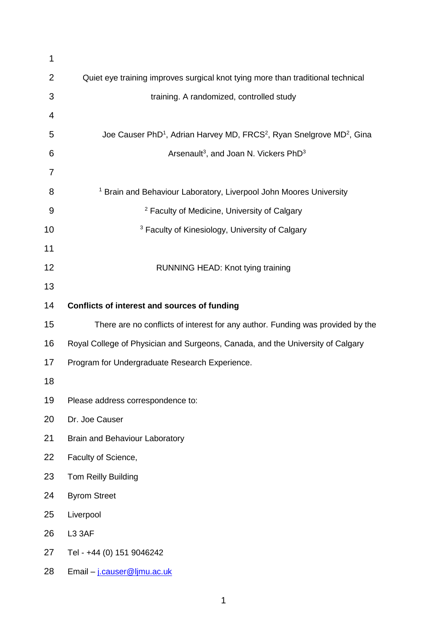| 1              |                                                                                                           |
|----------------|-----------------------------------------------------------------------------------------------------------|
| $\overline{2}$ | Quiet eye training improves surgical knot tying more than traditional technical                           |
| 3              | training. A randomized, controlled study                                                                  |
| 4              |                                                                                                           |
| 5              | Joe Causer PhD <sup>1</sup> , Adrian Harvey MD, FRCS <sup>2</sup> , Ryan Snelgrove MD <sup>2</sup> , Gina |
| 6              | Arsenault <sup>3</sup> , and Joan N. Vickers PhD <sup>3</sup>                                             |
| 7              |                                                                                                           |
| 8              | <sup>1</sup> Brain and Behaviour Laboratory, Liverpool John Moores University                             |
| 9              | <sup>2</sup> Faculty of Medicine, University of Calgary                                                   |
| 10             | <sup>3</sup> Faculty of Kinesiology, University of Calgary                                                |
| 11             |                                                                                                           |
| 12             | RUNNING HEAD: Knot tying training                                                                         |
| 13             |                                                                                                           |
| 14             | Conflicts of interest and sources of funding                                                              |
| 15             | There are no conflicts of interest for any author. Funding was provided by the                            |
| 16             | Royal College of Physician and Surgeons, Canada, and the University of Calgary                            |
| 17             | Program for Undergraduate Research Experience.                                                            |
| 18             |                                                                                                           |
| 19             | Please address correspondence to:                                                                         |
| 20             | Dr. Joe Causer                                                                                            |
| 21             | Brain and Behaviour Laboratory                                                                            |
| 22             | Faculty of Science,                                                                                       |
| 23             | Tom Reilly Building                                                                                       |
| 24             | <b>Byrom Street</b>                                                                                       |
| 25             | Liverpool                                                                                                 |
| 26             | L3 3AF                                                                                                    |
| 27             | Tel - +44 (0) 151 9046242                                                                                 |
| 28             | Email - j.causer@ljmu.ac.uk                                                                               |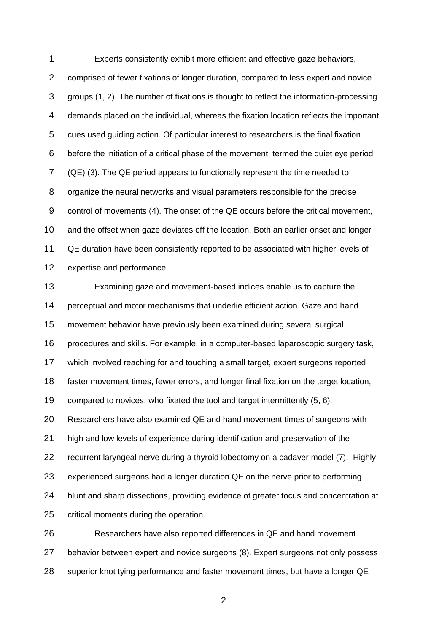Experts consistently exhibit more efficient and effective gaze behaviors, comprised of fewer fixations of longer duration, compared to less expert and novice groups [\(1,](#page-11-0) [2\)](#page-11-1). The number of fixations is thought to reflect the information-processing demands placed on the individual, whereas the fixation location reflects the important cues used guiding action. Of particular interest to researchers is the final fixation before the initiation of a critical phase of the movement, termed the quiet eye period (QE) [\(3\)](#page-11-2). The QE period appears to functionally represent the time needed to organize the neural networks and visual parameters responsible for the precise control of movements [\(4\)](#page-11-3). The onset of the QE occurs before the critical movement, and the offset when gaze deviates off the location. Both an earlier onset and longer QE duration have been consistently reported to be associated with higher levels of expertise and performance.

 Examining gaze and movement-based indices enable us to capture the perceptual and motor mechanisms that underlie efficient action. Gaze and hand movement behavior have previously been examined during several surgical procedures and skills. For example, in a computer-based laparoscopic surgery task, which involved reaching for and touching a small target, expert surgeons reported faster movement times, fewer errors, and longer final fixation on the target location, compared to novices, who fixated the tool and target intermittently [\(5,](#page-11-4) [6\)](#page-11-5). Researchers have also examined QE and hand movement times of surgeons with high and low levels of experience during identification and preservation of the recurrent laryngeal nerve during a thyroid lobectomy on a cadaver model [\(7\)](#page-11-6). Highly experienced surgeons had a longer duration QE on the nerve prior to performing blunt and sharp dissections, providing evidence of greater focus and concentration at critical moments during the operation.

 Researchers have also reported differences in QE and hand movement behavior between expert and novice surgeons [\(8\)](#page-11-7). Expert surgeons not only possess superior knot tying performance and faster movement times, but have a longer QE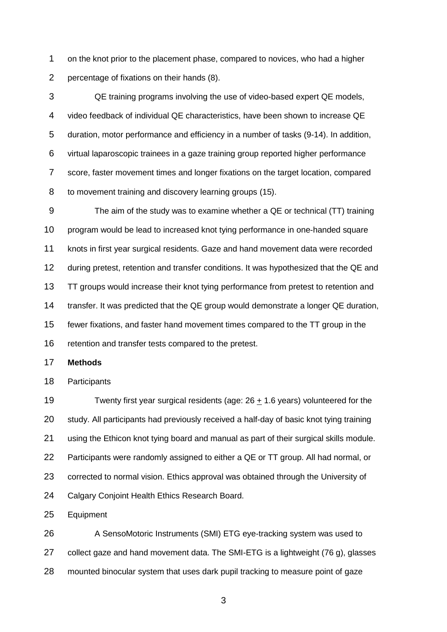on the knot prior to the placement phase, compared to novices, who had a higher percentage of fixations on their hands [\(8\)](#page-11-7).

 QE training programs involving the use of video-based expert QE models, video feedback of individual QE characteristics, have been shown to increase QE duration, motor performance and efficiency in a number of tasks [\(9-14\)](#page-12-0). In addition, virtual laparoscopic trainees in a gaze training group reported higher performance score, faster movement times and longer fixations on the target location, compared to movement training and discovery learning groups [\(15\)](#page-12-1).

 The aim of the study was to examine whether a QE or technical (TT) training program would be lead to increased knot tying performance in one-handed square knots in first year surgical residents. Gaze and hand movement data were recorded during pretest, retention and transfer conditions. It was hypothesized that the QE and 13 TT groups would increase their knot tying performance from pretest to retention and transfer. It was predicted that the QE group would demonstrate a longer QE duration, fewer fixations, and faster hand movement times compared to the TT group in the retention and transfer tests compared to the pretest.

## **Methods**

Participants

19 Twenty first year surgical residents (age:  $26 \pm 1.6$  years) volunteered for the study. All participants had previously received a half-day of basic knot tying training using the Ethicon knot tying board and manual as part of their surgical skills module. Participants were randomly assigned to either a QE or TT group. All had normal, or corrected to normal vision. Ethics approval was obtained through the University of Calgary Conjoint Health Ethics Research Board.

Equipment

26 A SensoMotoric Instruments (SMI) ETG eye-tracking system was used to collect gaze and hand movement data. The SMI-ETG is a lightweight (76 g), glasses mounted binocular system that uses dark pupil tracking to measure point of gaze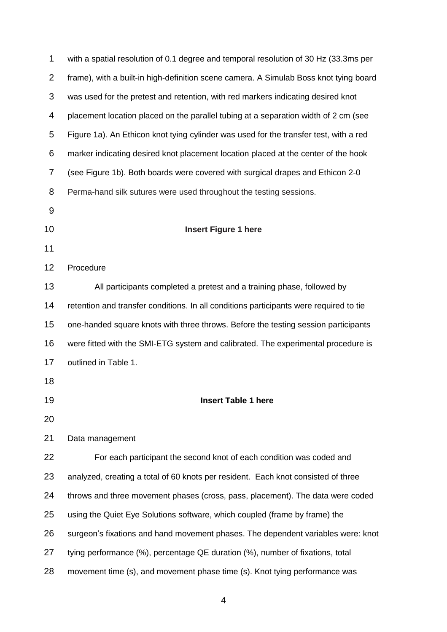| 1              | with a spatial resolution of 0.1 degree and temporal resolution of 30 Hz (33.3ms per   |
|----------------|----------------------------------------------------------------------------------------|
| $\overline{2}$ | frame), with a built-in high-definition scene camera. A Simulab Boss knot tying board  |
| 3              | was used for the pretest and retention, with red markers indicating desired knot       |
| 4              | placement location placed on the parallel tubing at a separation width of 2 cm (see    |
| 5              | Figure 1a). An Ethicon knot tying cylinder was used for the transfer test, with a red  |
| 6              | marker indicating desired knot placement location placed at the center of the hook     |
| 7              | (see Figure 1b). Both boards were covered with surgical drapes and Ethicon 2-0         |
| 8              | Perma-hand silk sutures were used throughout the testing sessions.                     |
| 9              |                                                                                        |
| 10             | <b>Insert Figure 1 here</b>                                                            |
| 11             |                                                                                        |
| 12             | Procedure                                                                              |
| 13             | All participants completed a pretest and a training phase, followed by                 |
| 14             | retention and transfer conditions. In all conditions participants were required to tie |
| 15             | one-handed square knots with three throws. Before the testing session participants     |
| 16             | were fitted with the SMI-ETG system and calibrated. The experimental procedure is      |
| 17             | outlined in Table 1.                                                                   |
| 18             |                                                                                        |
| 19             | <b>Insert Table 1 here</b>                                                             |
| 20             |                                                                                        |
| 21             | Data management                                                                        |
| 22             | For each participant the second knot of each condition was coded and                   |
| 23             | analyzed, creating a total of 60 knots per resident. Each knot consisted of three      |
| 24             | throws and three movement phases (cross, pass, placement). The data were coded         |
| 25             | using the Quiet Eye Solutions software, which coupled (frame by frame) the             |
| 26             | surgeon's fixations and hand movement phases. The dependent variables were: knot       |
| 27             | tying performance (%), percentage QE duration (%), number of fixations, total          |
| 28             | movement time (s), and movement phase time (s). Knot tying performance was             |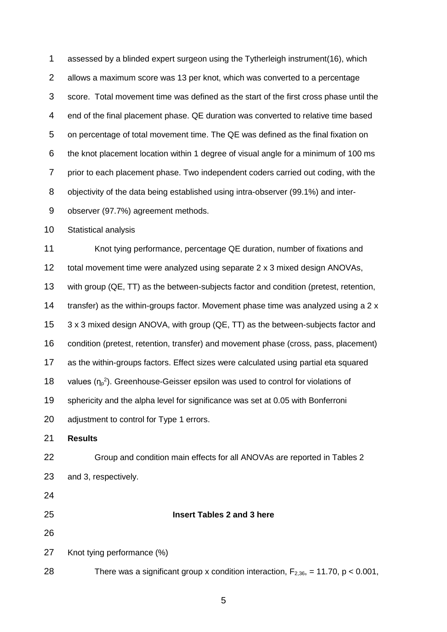assessed by a blinded expert surgeon using the Tytherleigh instrument[\(16\)](#page-12-2), which allows a maximum score was 13 per knot, which was converted to a percentage score. Total movement time was defined as the start of the first cross phase until the end of the final placement phase. QE duration was converted to relative time based on percentage of total movement time. The QE was defined as the final fixation on the knot placement location within 1 degree of visual angle for a minimum of 100 ms prior to each placement phase. Two independent coders carried out coding, with the objectivity of the data being established using intra-observer (99.1%) and inter-observer (97.7%) agreement methods.

Statistical analysis

11 Knot tying performance, percentage QE duration, number of fixations and total movement time were analyzed using separate 2 x 3 mixed design ANOVAs, with group (QE, TT) as the between-subjects factor and condition (pretest, retention, transfer) as the within-groups factor. Movement phase time was analyzed using a 2 x 3 x 3 mixed design ANOVA, with group (QE, TT) as the between-subjects factor and condition (pretest, retention, transfer) and movement phase (cross, pass, placement) as the within-groups factors. Effect sizes were calculated using partial eta squared 18 values  $(\eta_p^2)$ . Greenhouse-Geisser epsilon was used to control for violations of sphericity and the alpha level for significance was set at 0.05 with Bonferroni adjustment to control for Type 1 errors. **Results** Group and condition main effects for all ANOVAs are reported in Tables 2 and 3, respectively. **Insert Tables 2 and 3 here** Knot tying performance (%) 28 There was a significant group x condition interaction,  $F_{2,36}$ , = 11.70, p < 0.001,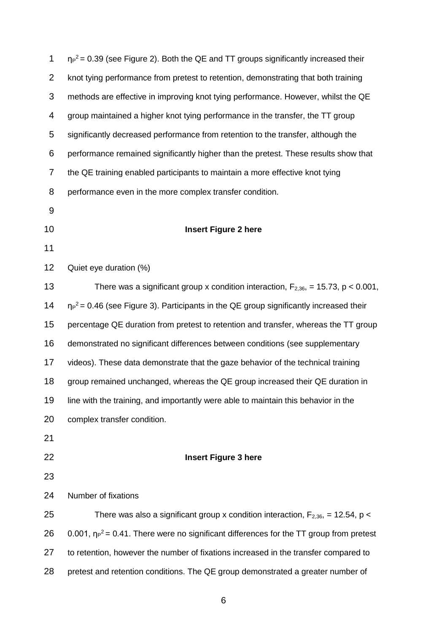| 1              | $\eta_P^2$ = 0.39 (see Figure 2). Both the QE and TT groups significantly increased their    |
|----------------|----------------------------------------------------------------------------------------------|
| $\overline{2}$ | knot tying performance from pretest to retention, demonstrating that both training           |
| 3              | methods are effective in improving knot tying performance. However, whilst the QE            |
| 4              | group maintained a higher knot tying performance in the transfer, the TT group               |
| 5              | significantly decreased performance from retention to the transfer, although the             |
| 6              | performance remained significantly higher than the pretest. These results show that          |
| $\overline{7}$ | the QE training enabled participants to maintain a more effective knot tying                 |
| 8              | performance even in the more complex transfer condition.                                     |
| 9              |                                                                                              |
| 10             | <b>Insert Figure 2 here</b>                                                                  |
| 11             |                                                                                              |
| 12             | Quiet eye duration (%)                                                                       |
| 13             | There was a significant group x condition interaction, $F_{2,36}$ , = 15.73, p < 0.001,      |
| 14             | $\eta_P^2$ = 0.46 (see Figure 3). Participants in the QE group significantly increased their |
| 15             | percentage QE duration from pretest to retention and transfer, whereas the TT group          |
| 16             | demonstrated no significant differences between conditions (see supplementary                |
| 17             | videos). These data demonstrate that the gaze behavior of the technical training             |
| 18             | group remained unchanged, whereas the QE group increased their QE duration in                |
| 19             | line with the training, and importantly were able to maintain this behavior in the           |
| 20             | complex transfer condition.                                                                  |
| 21             |                                                                                              |
| 22             | <b>Insert Figure 3 here</b>                                                                  |
| 23             |                                                                                              |
| 24             | Number of fixations                                                                          |
| 25             | There was also a significant group x condition interaction, $F_{2,36}$ , = 12.54, p <        |
| 26             | 0.001, $np^2$ = 0.41. There were no significant differences for the TT group from pretest    |
| 27             | to retention, however the number of fixations increased in the transfer compared to          |
| 28             | pretest and retention conditions. The QE group demonstrated a greater number of              |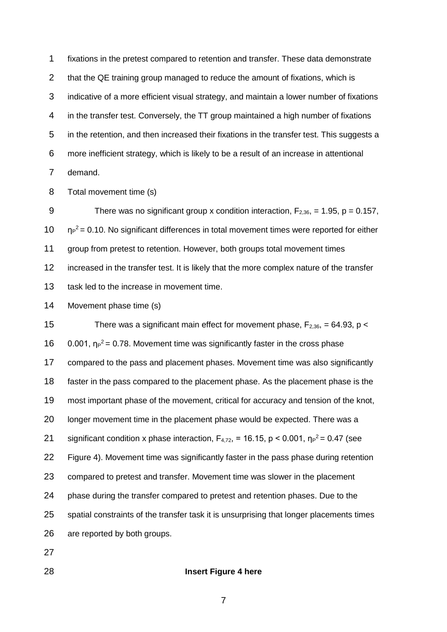fixations in the pretest compared to retention and transfer. These data demonstrate 2 that the QE training group managed to reduce the amount of fixations, which is indicative of a more efficient visual strategy, and maintain a lower number of fixations in the transfer test. Conversely, the TT group maintained a high number of fixations in the retention, and then increased their fixations in the transfer test. This suggests a more inefficient strategy, which is likely to be a result of an increase in attentional demand.

Total movement time (s)

9 There was no significant group x condition interaction,  $F_{2,36}$ , = 1.95, p = 0.157,  $10 \text{ m}^2$  = 0.10. No significant differences in total movement times were reported for either group from pretest to retention. However, both groups total movement times increased in the transfer test. It is likely that the more complex nature of the transfer 13 task led to the increase in movement time.

Movement phase time (s)

15 There was a significant main effect for movement phase,  $F_{2,36}$ , = 64.93, p <  $0.001$ ,  $np^2 = 0.78$ . Movement time was significantly faster in the cross phase compared to the pass and placement phases. Movement time was also significantly faster in the pass compared to the placement phase. As the placement phase is the most important phase of the movement, critical for accuracy and tension of the knot, longer movement time in the placement phase would be expected. There was a 21 significant condition x phase interaction,  $F_{4,72}$ , = 16.15, p < 0.001,  $\eta_P^2$  = 0.47 (see Figure 4). Movement time was significantly faster in the pass phase during retention compared to pretest and transfer. Movement time was slower in the placement phase during the transfer compared to pretest and retention phases. Due to the spatial constraints of the transfer task it is unsurprising that longer placements times are reported by both groups.

- 
- 

## **Insert Figure 4 here**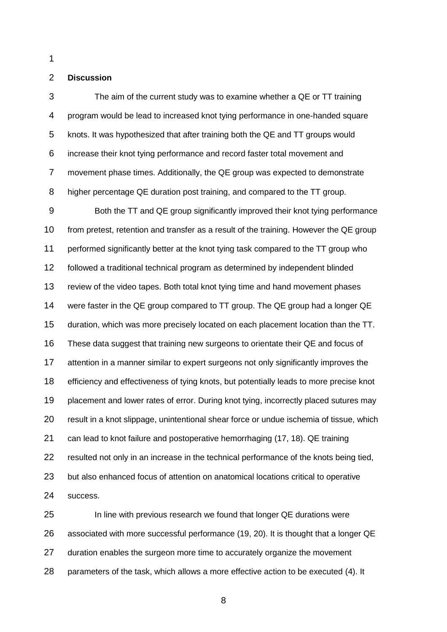## **Discussion**

 The aim of the current study was to examine whether a QE or TT training program would be lead to increased knot tying performance in one-handed square knots. It was hypothesized that after training both the QE and TT groups would increase their knot tying performance and record faster total movement and movement phase times. Additionally, the QE group was expected to demonstrate higher percentage QE duration post training, and compared to the TT group.

 Both the TT and QE group significantly improved their knot tying performance from pretest, retention and transfer as a result of the training. However the QE group performed significantly better at the knot tying task compared to the TT group who followed a traditional technical program as determined by independent blinded review of the video tapes. Both total knot tying time and hand movement phases were faster in the QE group compared to TT group. The QE group had a longer QE duration, which was more precisely located on each placement location than the TT. These data suggest that training new surgeons to orientate their QE and focus of attention in a manner similar to expert surgeons not only significantly improves the efficiency and effectiveness of tying knots, but potentially leads to more precise knot placement and lower rates of error. During knot tying, incorrectly placed sutures may result in a knot slippage, unintentional shear force or undue ischemia of tissue, which can lead to knot failure and postoperative hemorrhaging [\(17,](#page-12-3) [18\)](#page-12-4). QE training resulted not only in an increase in the technical performance of the knots being tied, but also enhanced focus of attention on anatomical locations critical to operative success.

 In line with previous research we found that longer QE durations were associated with more successful performance [\(19,](#page-12-5) [20\)](#page-12-6). It is thought that a longer QE duration enables the surgeon more time to accurately organize the movement parameters of the task, which allows a more effective action to be executed [\(4\)](#page-11-3). It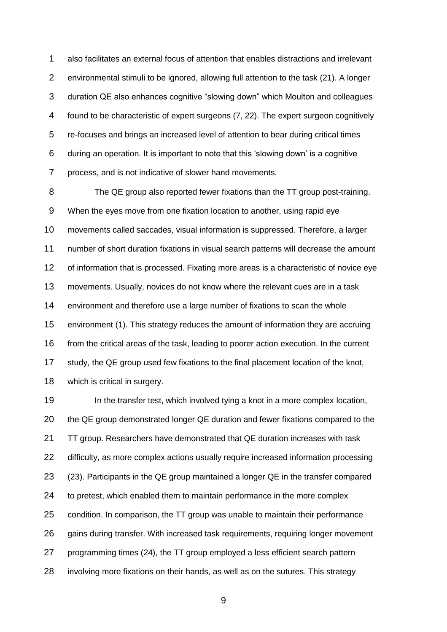also facilitates an external focus of attention that enables distractions and irrelevant environmental stimuli to be ignored, allowing full attention to the task [\(21\)](#page-12-7). A longer duration QE also enhances cognitive "slowing down" which Moulton and colleagues found to be characteristic of expert surgeons [\(7,](#page-11-6) [22\)](#page-12-8). The expert surgeon cognitively re-focuses and brings an increased level of attention to bear during critical times during an operation. It is important to note that this 'slowing down' is a cognitive process, and is not indicative of slower hand movements.

 The QE group also reported fewer fixations than the TT group post-training. When the eyes move from one fixation location to another, using rapid eye movements called saccades, visual information is suppressed. Therefore, a larger number of short duration fixations in visual search patterns will decrease the amount of information that is processed. Fixating more areas is a characteristic of novice eye movements. Usually, novices do not know where the relevant cues are in a task environment and therefore use a large number of fixations to scan the whole environment [\(1\)](#page-11-0). This strategy reduces the amount of information they are accruing from the critical areas of the task, leading to poorer action execution. In the current study, the QE group used few fixations to the final placement location of the knot, which is critical in surgery.

19 In the transfer test, which involved tying a knot in a more complex location, the QE group demonstrated longer QE duration and fewer fixations compared to the TT group. Researchers have demonstrated that QE duration increases with task difficulty, as more complex actions usually require increased information processing [\(23\)](#page-12-9). Participants in the QE group maintained a longer QE in the transfer compared to pretest, which enabled them to maintain performance in the more complex condition. In comparison, the TT group was unable to maintain their performance gains during transfer. With increased task requirements, requiring longer movement programming times [\(24\)](#page-12-10), the TT group employed a less efficient search pattern involving more fixations on their hands, as well as on the sutures. This strategy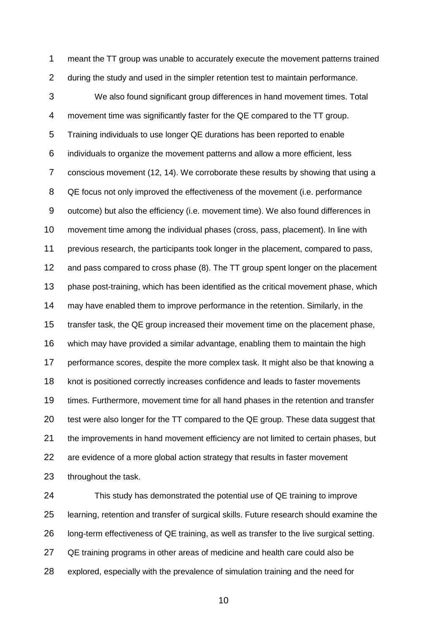meant the TT group was unable to accurately execute the movement patterns trained during the study and used in the simpler retention test to maintain performance. We also found significant group differences in hand movement times. Total movement time was significantly faster for the QE compared to the TT group. Training individuals to use longer QE durations has been reported to enable individuals to organize the movement patterns and allow a more efficient, less conscious movement [\(12,](#page-12-11) [14\)](#page-12-12). We corroborate these results by showing that using a 8 QE focus not only improved the effectiveness of the movement (i.e. performance outcome) but also the efficiency (i.e. movement time). We also found differences in movement time among the individual phases (cross, pass, placement). In line with previous research, the participants took longer in the placement, compared to pass, and pass compared to cross phase [\(8\)](#page-11-7). The TT group spent longer on the placement phase post-training, which has been identified as the critical movement phase, which may have enabled them to improve performance in the retention. Similarly, in the transfer task, the QE group increased their movement time on the placement phase, which may have provided a similar advantage, enabling them to maintain the high performance scores, despite the more complex task. It might also be that knowing a knot is positioned correctly increases confidence and leads to faster movements times. Furthermore, movement time for all hand phases in the retention and transfer test were also longer for the TT compared to the QE group. These data suggest that the improvements in hand movement efficiency are not limited to certain phases, but are evidence of a more global action strategy that results in faster movement throughout the task.

 This study has demonstrated the potential use of QE training to improve learning, retention and transfer of surgical skills. Future research should examine the long-term effectiveness of QE training, as well as transfer to the live surgical setting. QE training programs in other areas of medicine and health care could also be explored, especially with the prevalence of simulation training and the need for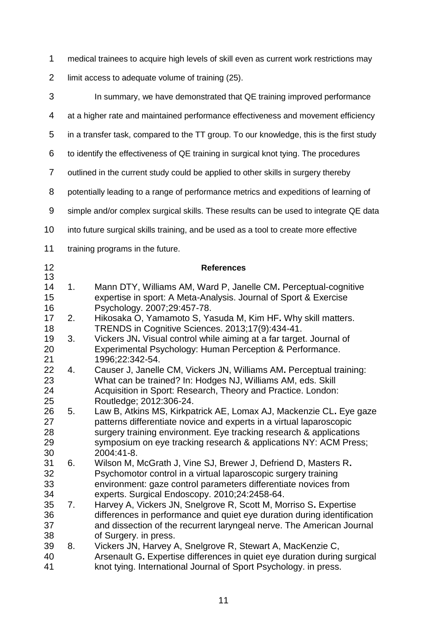medical trainees to acquire high levels of skill even as current work restrictions may

limit access to adequate volume of training [\(25\)](#page-13-0).

<span id="page-11-7"></span><span id="page-11-6"></span><span id="page-11-5"></span><span id="page-11-4"></span><span id="page-11-3"></span><span id="page-11-2"></span><span id="page-11-1"></span><span id="page-11-0"></span>

| 3                          |    | In summary, we have demonstrated that QE training improved performance                                                                                                                                                                                                                            |
|----------------------------|----|---------------------------------------------------------------------------------------------------------------------------------------------------------------------------------------------------------------------------------------------------------------------------------------------------|
| 4                          |    | at a higher rate and maintained performance effectiveness and movement efficiency                                                                                                                                                                                                                 |
| 5                          |    | in a transfer task, compared to the TT group. To our knowledge, this is the first study                                                                                                                                                                                                           |
| 6                          |    | to identify the effectiveness of QE training in surgical knot tying. The procedures                                                                                                                                                                                                               |
| $\overline{7}$             |    | outlined in the current study could be applied to other skills in surgery thereby                                                                                                                                                                                                                 |
| 8                          |    | potentially leading to a range of performance metrics and expeditions of learning of                                                                                                                                                                                                              |
| $\boldsymbol{9}$           |    | simple and/or complex surgical skills. These results can be used to integrate QE data                                                                                                                                                                                                             |
| 10                         |    | into future surgical skills training, and be used as a tool to create more effective                                                                                                                                                                                                              |
| 11                         |    | training programs in the future.                                                                                                                                                                                                                                                                  |
| 12<br>13                   |    | <b>References</b>                                                                                                                                                                                                                                                                                 |
| 14<br>15<br>16             | 1. | Mann DTY, Williams AM, Ward P, Janelle CM. Perceptual-cognitive<br>expertise in sport: A Meta-Analysis. Journal of Sport & Exercise<br>Psychology. 2007;29:457-78.                                                                                                                                |
| 17<br>18                   | 2. | Hikosaka O, Yamamoto S, Yasuda M, Kim HF. Why skill matters.<br>TRENDS in Cognitive Sciences. 2013;17(9):434-41.                                                                                                                                                                                  |
| 19<br>20<br>21             | 3. | Vickers JN. Visual control while aiming at a far target. Journal of<br>Experimental Psychology: Human Perception & Performance.<br>1996;22:342-54.                                                                                                                                                |
| 22<br>23<br>24<br>25       | 4. | Causer J, Janelle CM, Vickers JN, Williams AM. Perceptual training:<br>What can be trained? In: Hodges NJ, Williams AM, eds. Skill<br>Acquisition in Sport: Research, Theory and Practice. London:<br>Routledge; 2012:306-24.                                                                     |
| 26<br>27<br>28<br>29<br>30 | 5. | Law B, Atkins MS, Kirkpatrick AE, Lomax AJ, Mackenzie CL. Eye gaze<br>patterns differentiate novice and experts in a virtual laparoscopic<br>surgery training environment. Eye tracking research & applications<br>symposium on eye tracking research & applications NY: ACM Press;<br>2004:41-8. |
| 31<br>32<br>33<br>34       | 6. | Wilson M, McGrath J, Vine SJ, Brewer J, Defriend D, Masters R.<br>Psychomotor control in a virtual laparoscopic surgery training<br>environment: gaze control parameters differentiate novices from<br>experts. Surgical Endoscopy. 2010;24:2458-64.                                              |
| 35<br>36<br>37<br>38       | 7. | Harvey A, Vickers JN, Snelgrove R, Scott M, Morriso S. Expertise<br>differences in performance and quiet eye duration during identification<br>and dissection of the recurrent laryngeal nerve. The American Journal<br>of Surgery. in press.                                                     |
| 39<br>40<br>41             | 8. | Vickers JN, Harvey A, Snelgrove R, Stewart A, MacKenzie C,<br>Arsenault G. Expertise differences in quiet eye duration during surgical<br>knot tying. International Journal of Sport Psychology. in press.                                                                                        |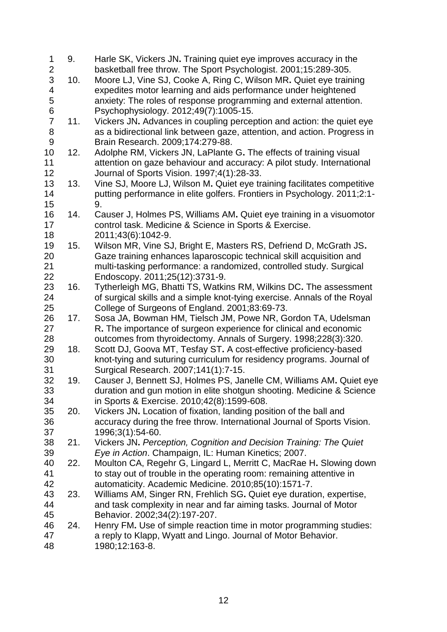<span id="page-12-12"></span><span id="page-12-11"></span><span id="page-12-10"></span><span id="page-12-9"></span><span id="page-12-8"></span><span id="page-12-7"></span><span id="page-12-6"></span><span id="page-12-5"></span><span id="page-12-4"></span><span id="page-12-3"></span><span id="page-12-2"></span><span id="page-12-1"></span><span id="page-12-0"></span>

| 1                       | 9.  | Harle SK, Vickers JN. Training quiet eye improves accuracy in the        |
|-------------------------|-----|--------------------------------------------------------------------------|
| $\frac{2}{3}$           |     | basketball free throw. The Sport Psychologist. 2001;15:289-305.          |
|                         | 10. | Moore LJ, Vine SJ, Cooke A, Ring C, Wilson MR. Quiet eye training        |
| $\overline{\mathbf{4}}$ |     | expedites motor learning and aids performance under heightened           |
| 5                       |     | anxiety: The roles of response programming and external attention.       |
| 6                       |     | Psychophysiology. 2012;49(7):1005-15.                                    |
| $\overline{7}$          | 11. | Vickers JN. Advances in coupling perception and action: the quiet eye    |
| 8                       |     | as a bidirectional link between gaze, attention, and action. Progress in |
| 9                       |     | Brain Research. 2009;174:279-88.                                         |
| 10                      | 12. | Adolphe RM, Vickers JN, LaPlante G. The effects of training visual       |
| 11                      |     | attention on gaze behaviour and accuracy: A pilot study. International   |
| 12                      |     | Journal of Sports Vision. 1997;4(1):28-33.                               |
| 13                      | 13. | Vine SJ, Moore LJ, Wilson M. Quiet eye training facilitates competitive  |
| 14                      |     | putting performance in elite golfers. Frontiers in Psychology. 2011;2:1- |
| 15                      |     | 9.                                                                       |
| 16                      | 14. | Causer J, Holmes PS, Williams AM. Quiet eye training in a visuomotor     |
| 17                      |     | control task. Medicine & Science in Sports & Exercise.                   |
| 18                      |     | 2011;43(6):1042-9.                                                       |
| 19                      | 15. | Wilson MR, Vine SJ, Bright E, Masters RS, Defriend D, McGrath JS.        |
| 20                      |     | Gaze training enhances laparoscopic technical skill acquisition and      |
| 21                      |     | multi-tasking performance: a randomized, controlled study. Surgical      |
| 22                      |     | Endoscopy. 2011;25(12):3731-9.                                           |
| 23                      | 16. | Tytherleigh MG, Bhatti TS, Watkins RM, Wilkins DC. The assessment        |
| 24                      |     | of surgical skills and a simple knot-tying exercise. Annals of the Royal |
| 25                      |     | College of Surgeons of England. 2001;83:69-73.                           |
| 26                      | 17. | Sosa JA, Bowman HM, Tielsch JM, Powe NR, Gordon TA, Udelsman             |
| 27                      |     | R. The importance of surgeon experience for clinical and economic        |
| 28                      |     | outcomes from thyroidectomy. Annals of Surgery. 1998;228(3):320.         |
| 29                      | 18. | Scott DJ, Goova MT, Tesfay ST. A cost-effective proficiency-based        |
| 30                      |     | knot-tying and suturing curriculum for residency programs. Journal of    |
| 31                      |     | Surgical Research. 2007;141(1):7-15.                                     |
| 32                      | 19. | Causer J, Bennett SJ, Holmes PS, Janelle CM, Williams AM. Quiet eye      |
| 33                      |     | duration and gun motion in elite shotgun shooting. Medicine & Science    |
| 34                      |     | in Sports & Exercise. 2010;42(8):1599-608.                               |
| 35                      | 20. | Vickers JN. Location of fixation, landing position of the ball and       |
| 36                      |     | accuracy during the free throw. International Journal of Sports Vision.  |
| 37                      |     | 1996;3(1):54-60.                                                         |
| 38                      | 21. | Vickers JN. Perception, Cognition and Decision Training: The Quiet       |
| 39                      |     | Eye in Action. Champaign, IL: Human Kinetics; 2007.                      |
| 40                      | 22. | Moulton CA, Regehr G, Lingard L, Merritt C, MacRae H. Slowing down       |
| 41                      |     | to stay out of trouble in the operating room: remaining attentive in     |
| 42                      |     | automaticity. Academic Medicine. 2010;85(10):1571-7.                     |
| 43                      | 23. | Williams AM, Singer RN, Frehlich SG. Quiet eye duration, expertise,      |
| 44                      |     | and task complexity in near and far aiming tasks. Journal of Motor       |
| 45                      |     | Behavior. 2002;34(2):197-207.                                            |
| 46                      | 24. | Henry FM. Use of simple reaction time in motor programming studies:      |
| 47                      |     | a reply to Klapp, Wyatt and Lingo. Journal of Motor Behavior.            |
| 48                      |     | 1980;12:163-8.                                                           |
|                         |     |                                                                          |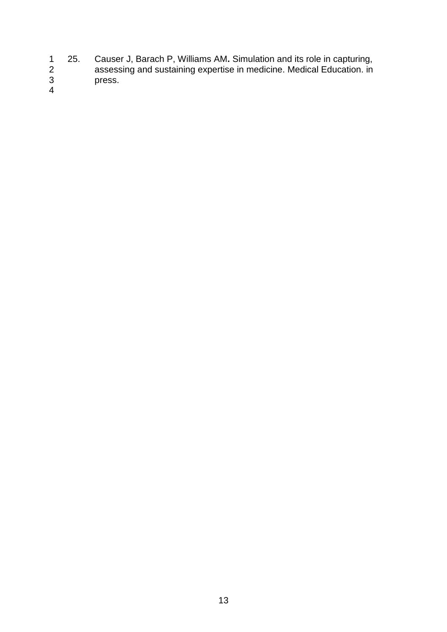- <span id="page-13-0"></span> 25. Causer J, Barach P, Williams AM**.** Simulation and its role in capturing, assessing and sustaining expertise in medicine. Medical Education. in press.
-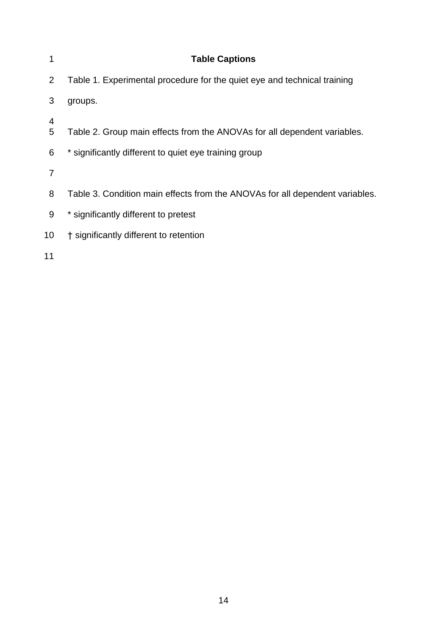| 1              | <b>Table Captions</b>                                                        |
|----------------|------------------------------------------------------------------------------|
| 2              | Table 1. Experimental procedure for the quiet eye and technical training     |
| 3              | groups.                                                                      |
| 4<br>5         | Table 2. Group main effects from the ANOVAs for all dependent variables.     |
| 6              | * significantly different to quiet eye training group                        |
| $\overline{7}$ |                                                                              |
| 8              | Table 3. Condition main effects from the ANOVAs for all dependent variables. |
| 9              | * significantly different to pretest                                         |
| 10             | † significantly different to retention                                       |
| 11             |                                                                              |